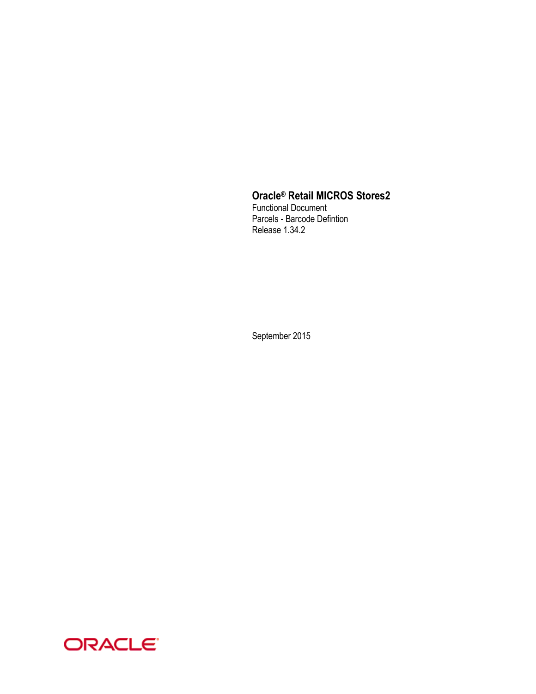## **Oracle® Retail MICROS Stores2**

Functional Document Parcels - Barcode Defintion Release 1.34.2

September 2015

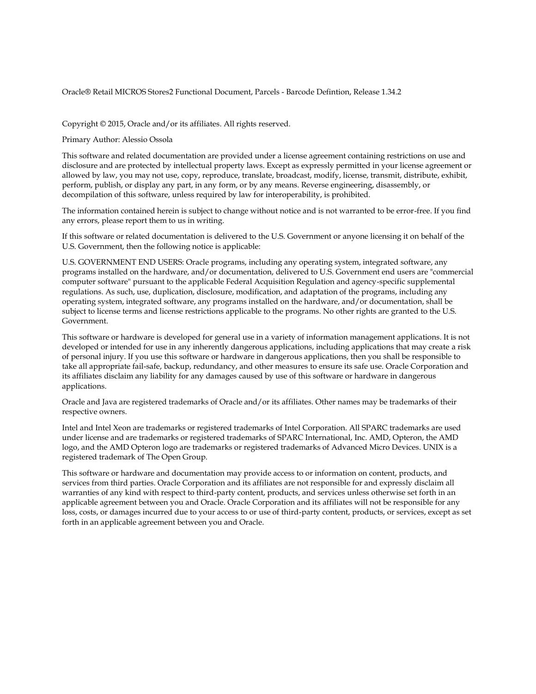#### Oracle® Retail MICROS Stores2 Functional Document, Parcels - Barcode Defintion, Release 1.34.2

#### Copyright © 2015, Oracle and/or its affiliates. All rights reserved.

Primary Author: Alessio Ossola

This software and related documentation are provided under a license agreement containing restrictions on use and disclosure and are protected by intellectual property laws. Except as expressly permitted in your license agreement or allowed by law, you may not use, copy, reproduce, translate, broadcast, modify, license, transmit, distribute, exhibit, perform, publish, or display any part, in any form, or by any means. Reverse engineering, disassembly, or decompilation of this software, unless required by law for interoperability, is prohibited.

The information contained herein is subject to change without notice and is not warranted to be error-free. If you find any errors, please report them to us in writing.

If this software or related documentation is delivered to the U.S. Government or anyone licensing it on behalf of the U.S. Government, then the following notice is applicable:

U.S. GOVERNMENT END USERS: Oracle programs, including any operating system, integrated software, any programs installed on the hardware, and/or documentation, delivered to U.S. Government end users are "commercial computer software" pursuant to the applicable Federal Acquisition Regulation and agency-specific supplemental regulations. As such, use, duplication, disclosure, modification, and adaptation of the programs, including any operating system, integrated software, any programs installed on the hardware, and/or documentation, shall be subject to license terms and license restrictions applicable to the programs. No other rights are granted to the U.S. Government.

This software or hardware is developed for general use in a variety of information management applications. It is not developed or intended for use in any inherently dangerous applications, including applications that may create a risk of personal injury. If you use this software or hardware in dangerous applications, then you shall be responsible to take all appropriate fail-safe, backup, redundancy, and other measures to ensure its safe use. Oracle Corporation and its affiliates disclaim any liability for any damages caused by use of this software or hardware in dangerous applications.

Oracle and Java are registered trademarks of Oracle and/or its affiliates. Other names may be trademarks of their respective owners.

Intel and Intel Xeon are trademarks or registered trademarks of Intel Corporation. All SPARC trademarks are used under license and are trademarks or registered trademarks of SPARC International, Inc. AMD, Opteron, the AMD logo, and the AMD Opteron logo are trademarks or registered trademarks of Advanced Micro Devices. UNIX is a registered trademark of The Open Group.

This software or hardware and documentation may provide access to or information on content, products, and services from third parties. Oracle Corporation and its affiliates are not responsible for and expressly disclaim all warranties of any kind with respect to third-party content, products, and services unless otherwise set forth in an applicable agreement between you and Oracle. Oracle Corporation and its affiliates will not be responsible for any loss, costs, or damages incurred due to your access to or use of third-party content, products, or services, except as set forth in an applicable agreement between you and Oracle.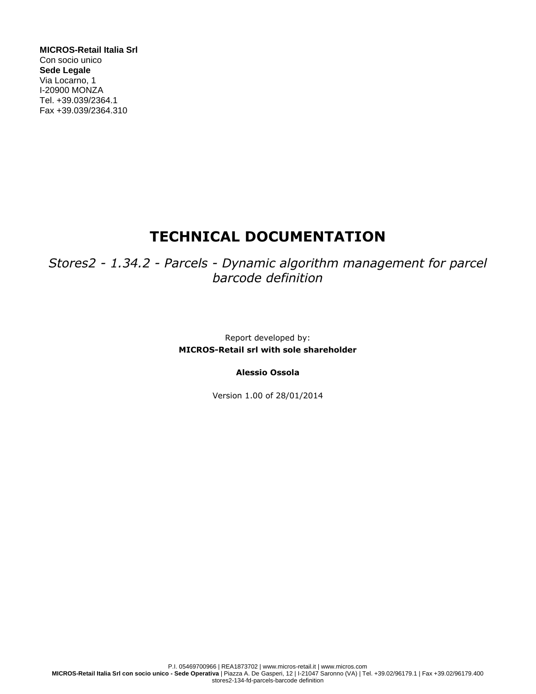**MICROS-Retail Italia Srl**  Con socio unico **Sede Legale**  Via Locarno, 1 I-20900 MONZA Tel. +39.039/2364.1 Fax +39.039/2364.310

# **TECHNICAL DOCUMENTATION**

*Stores2 - 1.34.2 - Parcels - Dynamic algorithm management for parcel barcode definition* 

> Report developed by: **MICROS-Retail srl with sole shareholder**

> > **Alessio Ossola**

Version 1.00 of 28/01/2014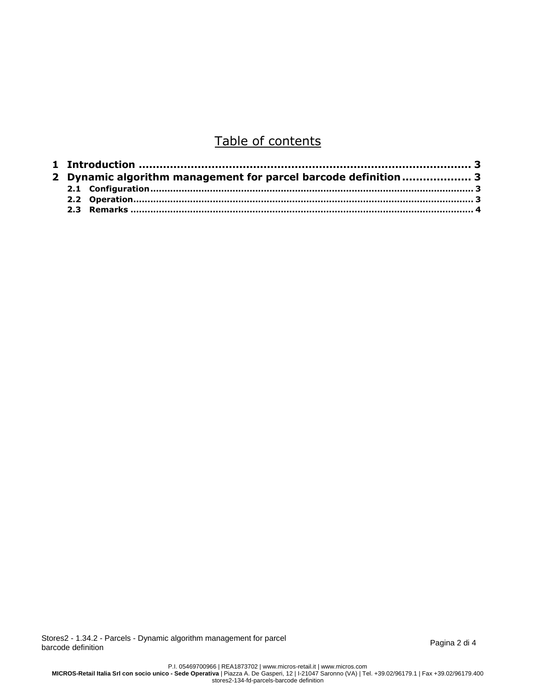# Table of contents

| 2 Dynamic algorithm management for parcel barcode definition 3 |  |  |  |
|----------------------------------------------------------------|--|--|--|
|                                                                |  |  |  |
|                                                                |  |  |  |
|                                                                |  |  |  |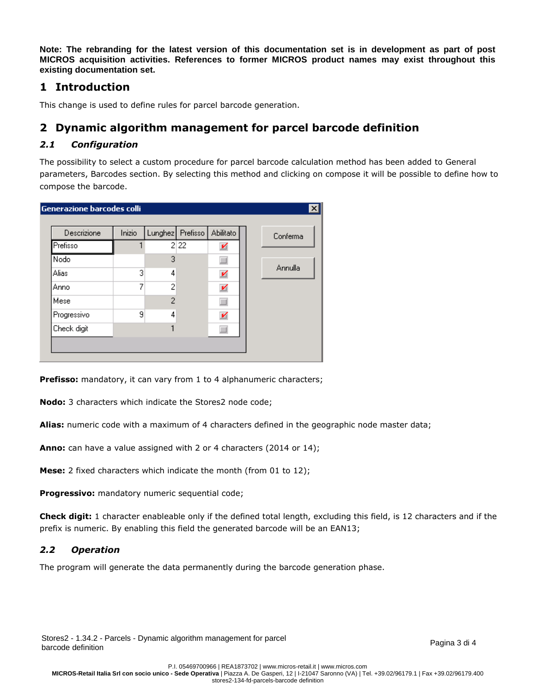<span id="page-4-0"></span>**Note: The rebranding for the latest version of this documentation set is in development as part of post MICROS acquisition activities. References to former MICROS product names may exist throughout this existing documentation set.** 

## **1 Introduction**

This change is used to define rules for parcel barcode generation.

## <span id="page-4-1"></span>**2 Dynamic algorithm management for parcel barcode definition**

#### <span id="page-4-2"></span>*2.1 Configuration*

The possibility to select a custom procedure for parcel barcode calculation method has been added to General parameters, Barcodes section. By selecting this method and clicking on compose it will be possible to define how to compose the barcode.

| $\boldsymbol{\mathsf{x}}$<br><b>Generazione barcodes colli</b> |                |  |                  |                  |  |  |  |  |
|----------------------------------------------------------------|----------------|--|------------------|------------------|--|--|--|--|
|                                                                |                |  |                  |                  |  |  |  |  |
| Inizio                                                         |                |  | <b>Abilitato</b> | Conferma         |  |  |  |  |
|                                                                |                |  | K                |                  |  |  |  |  |
|                                                                | 3              |  |                  |                  |  |  |  |  |
| З                                                              | 4              |  | V                | Annulla          |  |  |  |  |
| 7                                                              | 2              |  | V                |                  |  |  |  |  |
|                                                                | $\overline{2}$ |  |                  |                  |  |  |  |  |
| 9                                                              | 4              |  | И                |                  |  |  |  |  |
|                                                                |                |  |                  |                  |  |  |  |  |
|                                                                |                |  |                  |                  |  |  |  |  |
|                                                                |                |  | 2 22             | Lunghez Prefisso |  |  |  |  |

**Prefisso:** mandatory, it can vary from 1 to 4 alphanumeric characters;

**Nodo:** 3 characters which indicate the Stores2 node code;

**Alias:** numeric code with a maximum of 4 characters defined in the geographic node master data;

**Anno:** can have a value assigned with 2 or 4 characters (2014 or 14);

**Mese:** 2 fixed characters which indicate the month (from 01 to 12);

**Progressivo:** mandatory numeric sequential code;

**Check digit:** 1 character enableable only if the defined total length, excluding this field, is 12 characters and if the prefix is numeric. By enabling this field the generated barcode will be an EAN13;

#### <span id="page-4-3"></span>*2.2 Operation*

The program will generate the data permanently during the barcode generation phase.